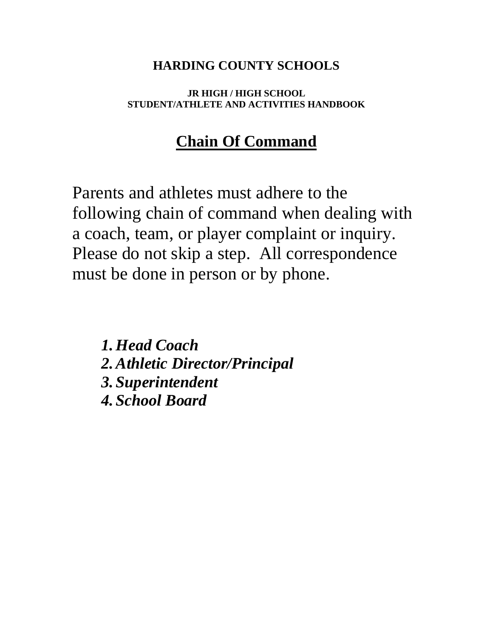## **HARDING COUNTY SCHOOLS**

### **JR HIGH / HIGH SCHOOL STUDENT/ATHLETE AND ACTIVITIES HANDBOOK**

# **Chain Of Command**

Parents and athletes must adhere to the following chain of command when dealing with a coach, team, or player complaint or inquiry. Please do not skip a step. All correspondence must be done in person or by phone.

*1.Head Coach 2.Athletic Director/Principal 3. Superintendent 4. School Board*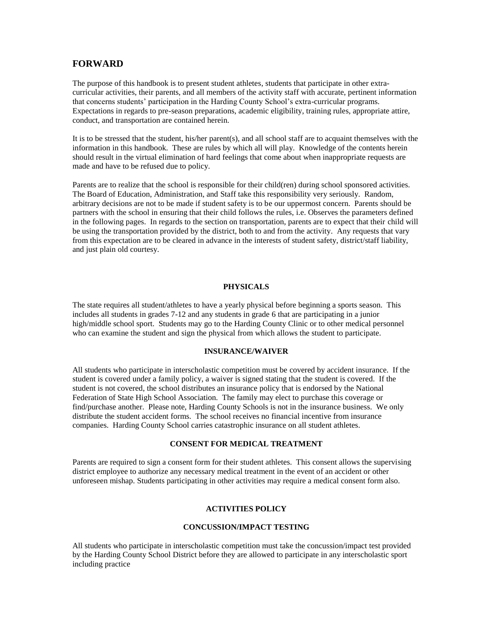#### **FORWARD**

The purpose of this handbook is to present student athletes, students that participate in other extracurricular activities, their parents, and all members of the activity staff with accurate, pertinent information that concerns students' participation in the Harding County School's extra-curricular programs. Expectations in regards to pre-season preparations, academic eligibility, training rules, appropriate attire, conduct, and transportation are contained herein.

It is to be stressed that the student, his/her parent(s), and all school staff are to acquaint themselves with the information in this handbook. These are rules by which all will play. Knowledge of the contents herein should result in the virtual elimination of hard feelings that come about when inappropriate requests are made and have to be refused due to policy.

Parents are to realize that the school is responsible for their child(ren) during school sponsored activities. The Board of Education, Administration, and Staff take this responsibility very seriously. Random, arbitrary decisions are not to be made if student safety is to be our uppermost concern. Parents should be partners with the school in ensuring that their child follows the rules, i.e. Observes the parameters defined in the following pages. In regards to the section on transportation, parents are to expect that their child will be using the transportation provided by the district, both to and from the activity. Any requests that vary from this expectation are to be cleared in advance in the interests of student safety, district/staff liability, and just plain old courtesy.

#### **PHYSICALS**

The state requires all student/athletes to have a yearly physical before beginning a sports season. This includes all students in grades 7-12 and any students in grade 6 that are participating in a junior high/middle school sport. Students may go to the Harding County Clinic or to other medical personnel who can examine the student and sign the physical from which allows the student to participate.

#### **INSURANCE/WAIVER**

All students who participate in interscholastic competition must be covered by accident insurance. If the student is covered under a family policy, a waiver is signed stating that the student is covered. If the student is not covered, the school distributes an insurance policy that is endorsed by the National Federation of State High School Association. The family may elect to purchase this coverage or find/purchase another. Please note, Harding County Schools is not in the insurance business. We only distribute the student accident forms. The school receives no financial incentive from insurance companies. Harding County School carries catastrophic insurance on all student athletes.

#### **CONSENT FOR MEDICAL TREATMENT**

Parents are required to sign a consent form for their student athletes. This consent allows the supervising district employee to authorize any necessary medical treatment in the event of an accident or other unforeseen mishap. Students participating in other activities may require a medical consent form also.

#### **ACTIVITIES POLICY**

#### **CONCUSSION/IMPACT TESTING**

All students who participate in interscholastic competition must take the concussion/impact test provided by the Harding County School District before they are allowed to participate in any interscholastic sport including practice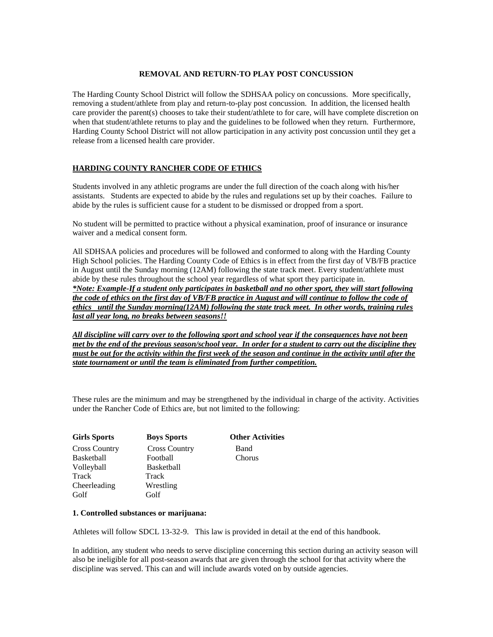#### **REMOVAL AND RETURN-TO PLAY POST CONCUSSION**

The Harding County School District will follow the SDHSAA policy on concussions. More specifically, removing a student/athlete from play and return-to-play post concussion. In addition, the licensed health care provider the parent(s) chooses to take their student/athlete to for care, will have complete discretion on when that student/athlete returns to play and the guidelines to be followed when they return. Furthermore, Harding County School District will not allow participation in any activity post concussion until they get a release from a licensed health care provider.

#### **HARDING COUNTY RANCHER CODE OF ETHICS**

Students involved in any athletic programs are under the full direction of the coach along with his/her assistants. Students are expected to abide by the rules and regulations set up by their coaches. Failure to abide by the rules is sufficient cause for a student to be dismissed or dropped from a sport.

No student will be permitted to practice without a physical examination, proof of insurance or insurance waiver and a medical consent form.

All SDHSAA policies and procedures will be followed and conformed to along with the Harding County High School policies. The Harding County Code of Ethics is in effect from the first day of VB/FB practice in August until the Sunday morning (12AM) following the state track meet. Every student/athlete must abide by these rules throughout the school year regardless of what sport they participate in. *\*Note: Example-If a student only participates in basketball and no other sport, they will start following* 

*the code of ethics on the first day of VB/FB practice in August and will continue to follow the code of ethics until the Sunday morning(12AM) following the state track meet. In other words, training rules last all year long, no breaks between seasons!!*

*All discipline will carry over to the following sport and school year if the consequences have not been met by the end of the previous season/school year. In order for a student to carry out the discipline they must be out for the activity within the first week of the season and continue in the activity until after the state tournament or until the team is eliminated from further competition.* 

These rules are the minimum and may be strengthened by the individual in charge of the activity. Activities under the Rancher Code of Ethics are, but not limited to the following:

| <b>Girls Sports</b>  | <b>Boys Sports</b>   | <b>Other Activities</b> |
|----------------------|----------------------|-------------------------|
| <b>Cross Country</b> | <b>Cross Country</b> | Band                    |
| Basketball           | Football             | Chorus                  |
| Volleyball           | <b>Basketball</b>    |                         |
| Track                | Track                |                         |
| Cheerleading         | Wrestling            |                         |
| Golf                 | Golf                 |                         |

#### **1. Controlled substances or marijuana:**

Athletes will follow SDCL 13-32-9. This law is provided in detail at the end of this handbook.

In addition, any student who needs to serve discipline concerning this section during an activity season will also be ineligible for all post-season awards that are given through the school for that activity where the discipline was served. This can and will include awards voted on by outside agencies.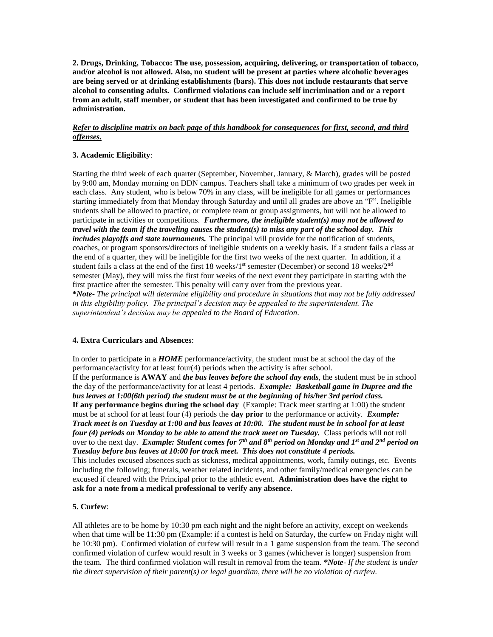**2. Drugs, Drinking, Tobacco: The use, possession, acquiring, delivering, or transportation of tobacco, and/or alcohol is not allowed. Also, no student will be present at parties where alcoholic beverages are being served or at drinking establishments (bars). This does not include restaurants that serve alcohol to consenting adults. Confirmed violations can include self incrimination and or a report from an adult, staff member, or student that has been investigated and confirmed to be true by administration.**

#### *Refer to discipline matrix on back page of this handbook for consequences for first, second, and third offenses.*

#### **3. Academic Eligibility**:

Starting the third week of each quarter (September, November, January, & March), grades will be posted by 9:00 am, Monday morning on DDN campus. Teachers shall take a minimum of two grades per week in each class. Any student, who is below 70% in any class, will be ineligible for all games or performances starting immediately from that Monday through Saturday and until all grades are above an "F". Ineligible students shall be allowed to practice, or complete team or group assignments, but will not be allowed to participate in activities or competitions. *Furthermore, the ineligible student(s) may not be allowed to travel with the team if the traveling causes the student(s) to miss any part of the school day. This includes playoffs and state tournaments.* The principal will provide for the notification of students, coaches, or program sponsors/directors of ineligible students on a weekly basis. If a student fails a class at the end of a quarter, they will be ineligible for the first two weeks of the next quarter. In addition, if a student fails a class at the end of the first 18 weeks/1<sup>st</sup> semester (December) or second 18 weeks/ $2<sup>nd</sup>$ semester (May), they will miss the first four weeks of the next event they participate in starting with the first practice after the semester. This penalty will carry over from the previous year. **\****Note- The principal will determine eligibility and procedure in situations that may not be fully addressed in this eligibility policy. The principal's decision may be appealed to the superintendent. The superintendent's decision may be appealed to the Board of Education*.

#### **4. Extra Curriculars and Absences**:

In order to participate in a *HOME* performance/activity, the student must be at school the day of the performance/activity for at least four(4) periods when the activity is after school. If the performance is **AWAY** and *the bus leaves before the school day ends*, the student must be in school the day of the performance/activity for at least 4 periods. *Example: Basketball game in Dupree and the bus leaves at 1:00(6th period) the student must be at the beginning of his/her 3rd period class.* **If any performance begins during the school day** (Example: Track meet starting at 1:00) the student

must be at school for at least four (4) periods the **day prior** to the performance or activity. *Example: Track meet is on Tuesday at 1:00 and bus leaves at 10:00. The student must be in school for at least four (4) periods on Monday to be able to attend the track meet on Tuesday.* Class periods will not roll over to the next day. *Example: Student comes for 7th and 8th period on Monday and 1st and 2nd period on Tuesday before bus leaves at 10:00 for track meet. This does not constitute 4 periods.*

This includes excused absences such as sickness, medical appointments, work, family outings, etc. Events including the following; funerals, weather related incidents, and other family/medical emergencies can be excused if cleared with the Principal prior to the athletic event. **Administration does have the right to ask for a note from a medical professional to verify any absence.**

#### **5. Curfew**:

All athletes are to be home by 10:30 pm each night and the night before an activity, except on weekends when that time will be 11:30 pm (Example: if a contest is held on Saturday, the curfew on Friday night will be 10:30 pm). Confirmed violation of curfew will result in a 1 game suspension from the team. The second confirmed violation of curfew would result in 3 weeks or 3 games (whichever is longer) suspension from the team. The third confirmed violation will result in removal from the team. *\*Note*- *If the student is under the direct supervision of their parent(s) or legal guardian, there will be no violation of curfew.*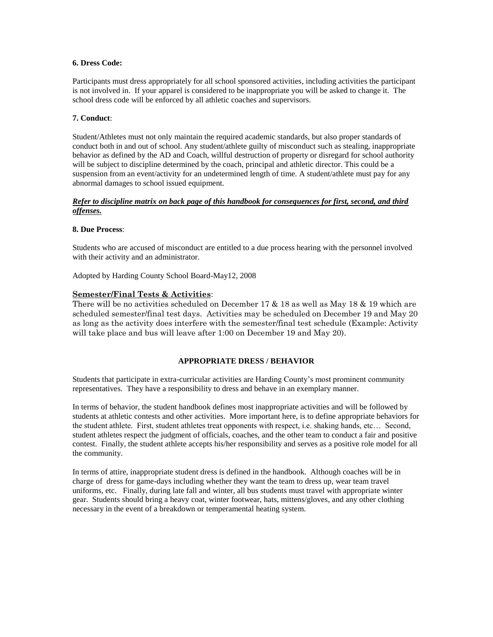#### **6. Dress Code:**

Participants must dress appropriately for all school sponsored activities, including activities the participant is not involved in. If your apparel is considered to be inappropriate you will be asked to change it. The school dress code will be enforced by all athletic coaches and supervisors.

#### **7. Conduct**:

Student/Athletes must not only maintain the required academic standards, but also proper standards of conduct both in and out of school. Any student/athlete guilty of misconduct such as stealing, inappropriate behavior as defined by the AD and Coach, willful destruction of property or disregard for school authority will be subject to discipline determined by the coach, principal and athletic director. This could be a suspension from an event/activity for an undetermined length of time. A student/athlete must pay for any abnormal damages to school issued equipment.

#### *Refer to discipline matrix on back page of this handbook for consequences for first, second, and third offenses.*

#### **8. Due Process**:

Students who are accused of misconduct are entitled to a due process hearing with the personnel involved with their activity and an administrator.

Adopted by Harding County School Board-May12, 2008

#### **Semester/Final Tests & Activities**:

There will be no activities scheduled on December 17 & 18 as well as May 18 & 19 which are scheduled semester/final test days. Activities may be scheduled on December 19 and May 20 as long as the activity does interfere with the semester/final test schedule (Example: Activity will take place and bus will leave after 1:00 on December 19 and May 20).

#### **APPROPRIATE DRESS / BEHAVIOR**

Students that participate in extra-curricular activities are Harding County's most prominent community representatives. They have a responsibility to dress and behave in an exemplary manner.

In terms of behavior, the student handbook defines most inappropriate activities and will be followed by students at athletic contests and other activities. More important here, is to define appropriate behaviors for the student athlete. First, student athletes treat opponents with respect, i.e. shaking hands, etc… Second, student athletes respect the judgment of officials, coaches, and the other team to conduct a fair and positive contest. Finally, the student athlete accepts his/her responsibility and serves as a positive role model for all the community.

In terms of attire, inappropriate student dress is defined in the handbook. Although coaches will be in charge of dress for game-days including whether they want the team to dress up, wear team travel uniforms, etc. Finally, during late fall and winter, all bus students must travel with appropriate winter gear. Students should bring a heavy coat, winter footwear, hats, mittens/gloves, and any other clothing necessary in the event of a breakdown or temperamental heating system.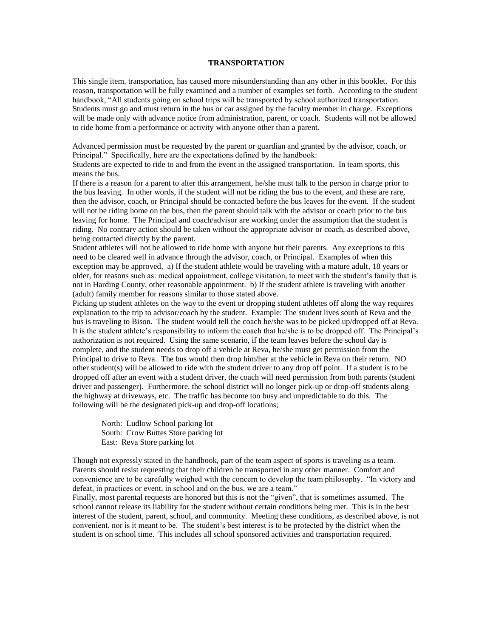#### **TRANSPORTATION**

This single item, transportation, has caused more misunderstanding than any other in this booklet. For this reason, transportation will be fully examined and a number of examples set forth. According to the student handbook, "All students going on school trips will be transported by school authorized transportation. Students must go and must return in the bus or car assigned by the faculty member in charge. Exceptions will be made only with advance notice from administration, parent, or coach. Students will not be allowed to ride home from a performance or activity with anyone other than a parent.

Advanced permission must be requested by the parent or guardian and granted by the advisor, coach, or Principal." Specifically, here are the expectations defined by the handbook:

Students are expected to ride to and from the event in the assigned transportation. In team sports, this means the bus.

If there is a reason for a parent to alter this arrangement, he/she must talk to the person in charge prior to the bus leaving. In other words, if the student will not be riding the bus to the event, and these are rare, then the advisor, coach, or Principal should be contacted before the bus leaves for the event. If the student will not be riding home on the bus, then the parent should talk with the advisor or coach prior to the bus leaving for home. The Principal and coach/advisor are working under the assumption that the student is riding. No contrary action should be taken without the appropriate advisor or coach, as described above, being contacted directly by the parent.

Student athletes will not be allowed to ride home with anyone but their parents. Any exceptions to this need to be cleared well in advance through the advisor, coach, or Principal. Examples of when this exception may be approved, a) If the student athlete would be traveling with a mature adult, 18 years or older, for reasons such as: medical appointment, college visitation, to meet with the student's family that is not in Harding County, other reasonable appointment. b) If the student athlete is traveling with another (adult) family member for reasons similar to those stated above.

Picking up student athletes on the way to the event or dropping student athletes off along the way requires explanation to the trip to advisor/coach by the student. Example: The student lives south of Reva and the bus is traveling to Bison. The student would tell the coach he/she was to be picked up/dropped off at Reva. It is the student athlete's responsibility to inform the coach that he/she is to be dropped off. The Principal's authorization is not required. Using the same scenario, if the team leaves before the school day is complete, and the student needs to drop off a vehicle at Reva, he/she must get permission from the Principal to drive to Reva. The bus would then drop him/her at the vehicle in Reva on their return. NO other student(s) will be allowed to ride with the student driver to any drop off point. If a student is to be dropped off after an event with a student driver, the coach will need permission from both parents (student driver and passenger). Furthermore, the school district will no longer pick-up or drop-off students along the highway at driveways, etc. The traffic has become too busy and unpredictable to do this. The following will be the designated pick-up and drop-off locations;

North: Ludlow School parking lot South: Crow Buttes Store parking lot East: Reva Store parking lot

Though not expressly stated in the handbook, part of the team aspect of sports is traveling as a team. Parents should resist requesting that their children be transported in any other manner. Comfort and convenience are to be carefully weighed with the concern to develop the team philosophy. "In victory and defeat, in practices or event, in school and on the bus, we are a team."

Finally, most parental requests are honored but this is not the "given", that is sometimes assumed. The school cannot release its liability for the student without certain conditions being met. This is in the best interest of the student, parent, school, and community. Meeting these conditions, as described above, is not convenient, nor is it meant to be. The student's best interest is to be protected by the district when the student is on school time. This includes all school sponsored activities and transportation required.